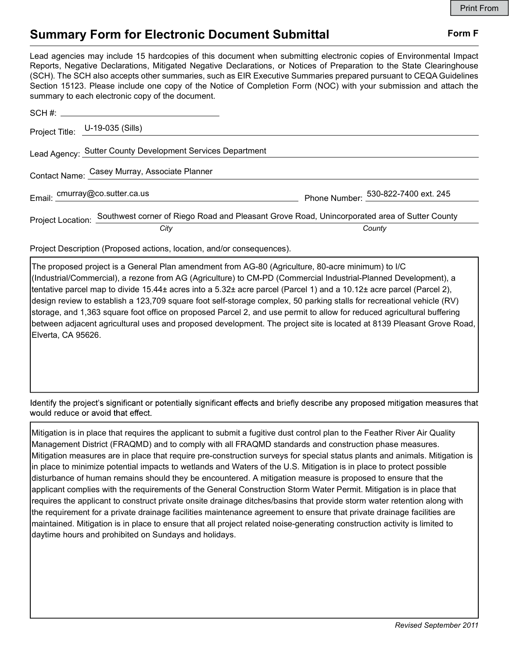## Summary Form for Electronic Document Submittal Form F

Lead agencies may include 15 hardcopies of this document when submitting electronic copies of Environmental Impact Reports, Negative Declarations, Mitigated Negative Declarations, or Notices of Preparation to the State Clearinghouse (SCH). The SCH also accepts other summaries, such as EIR Executive Summaries prepared pursuant to CEQA Guidelines Section 15123. Please include one copy of the Notice of Completion Form (NOC) with your submission and attach the summary to each electronic copy of the document.

|                                               | Project Title: U-19-035 (Sills)                                                                                |                                     |
|-----------------------------------------------|----------------------------------------------------------------------------------------------------------------|-------------------------------------|
|                                               | Lead Agency: Sutter County Development Services Department                                                     |                                     |
| Contact Name: Casey Murray, Associate Planner |                                                                                                                |                                     |
|                                               | Email: cmurray@co.sutter.ca.us                                                                                 | Phone Number: 530-822-7400 ext. 245 |
|                                               | Project Location: Southwest corner of Riego Road and Pleasant Grove Road, Unincorporated area of Sutter County |                                     |
|                                               | City                                                                                                           | County                              |

Project Description (Proposed actions, location, and/or consequences).

The proposed project is a General Plan amendment from AG-80 (Agriculture, 80-acre minimum) to I/C (Industrial/Commercial), a rezone from AG (Agriculture) to CM-PD (Commercial Industrial-Planned Development), a tentative parcel map to divide 15.44± acres into a 5.32± acre parcel (Parcel 1) and a 10.12± acre parcel (Parcel 2), design review to establish a 123,709 square foot self-storage complex, 50 parking stalls for recreational vehicle (RV) storage, and 1,363 square foot office on proposed Parcel 2, and use permit to allow for reduced agricultural buffering between adjacent agricultural uses and proposed development. The project site is located at 8139 Pleasant Grove Road, Elverta, CA 95626.

Identify the project's significant or potentially significant effects and briefly describe any proposed mitigation measures that would reduce or avoid that effect.

Mitigation is in place that requires the applicant to submit a fugitive dust control plan to the Feather River Air Quality Management District (FRAQMD) and to comply with all FRAQMD standards and construction phase measures. Mitigation measures are in place that require pre-construction surveys for special status plants and animals. Mitigation is in place to minimize potential impacts to wetlands and Waters of the U.S. Mitigation is in place to protect possible disturbance of human remains should they be encountered. A mitigation measure is proposed to ensure that the applicant complies with the requirements of the General Construction Storm Water Permit. Mitigation is in place that requires the applicant to construct private onsite drainage ditches/basins that provide storm water retention along with the requirement for a private drainage facilities maintenance agreement to ensure that private drainage facilities are maintained. Mitigation is in place to ensure that all project related noise-generating construction activity is limited to daytime hours and prohibited on Sundays and holidays.